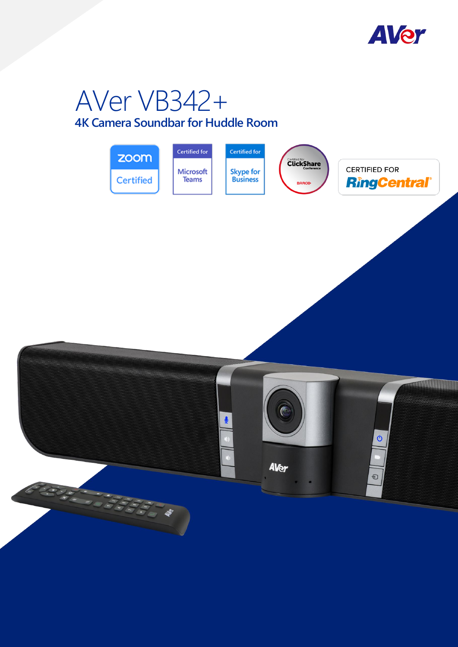

# AVer VB342+

# **4K Camera Soundbar for Huddle Room**

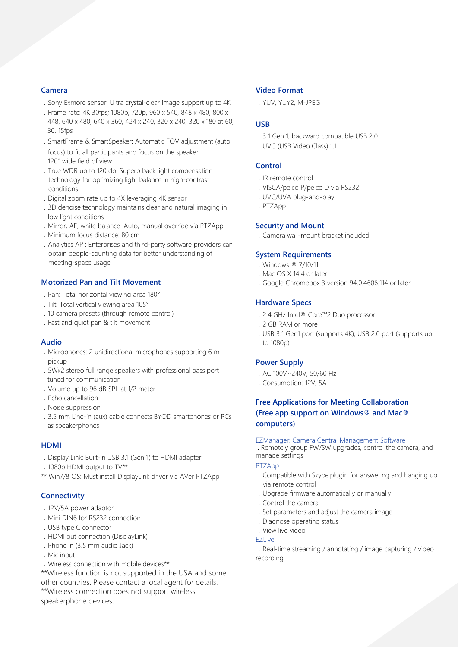#### **Camera**

- .Sony Exmore sensor: Ultra crystal-clear image support up to 4K
- .Frame rate: 4K 30fps; 1080p, 720p, 960 x 540, 848 x 480, 800 x 448, 640 x 480, 640 x 360, 424 x 240, 320 x 240, 320 x 180 at 60, 30, 15fps
- .SmartFrame & SmartSpeaker: Automatic FOV adjustment (auto focus) to fit all participants and focus on the speaker
- .120°wide field of view
- .True WDR up to 120 db: Superb back light compensation technology for optimizing light balance in high-contrast conditions
- .Digital zoom rate up to 4X leveraging 4K sensor
- .3D denoise technology maintains clear and natural imaging in low light conditions
- .Mirror, AE, white balance: Auto, manual override via PTZApp
- .Minimum focus distance: 80 cm
- .Analytics API: Enterprises and third-party software providers can obtain people-counting data for better understanding of meeting-space usage

#### **Motorized Pan and Tilt Movement**

- .Pan: Total horizontal viewing area 180°
- .Tilt: Total vertical viewing area 105°
- .10 camera presets (through remote control)
- .Fast and quiet pan & tilt movement

#### **Audio**

- .Microphones: 2 unidirectional microphones supporting 6 m pickup
- .5Wx2 stereo full range speakers with professional bass port tuned for communication
- .Volume up to 96 dB SPL at 1/2 meter
- .Echo cancellation
- .Noise suppression
- .3.5 mm Line-in (aux) cable connects BYOD smartphones or PCs as speakerphones

#### **HDMI**

- .Display Link: Built-in USB 3.1 (Gen 1) to HDMI adapter
- .1080p HDMI output to TV\*\*
- \*\* Win7/8 OS: Must install DisplayLink driver via AVer PTZApp

#### **Connectivity**

- .12V/5A power adaptor
- .Mini DIN6 for RS232 connection
- .USB type C connector
- .HDMI out connection (DisplayLink)
- .Phone in (3.5 mm audio Jack)
- . Mic input
- .Wireless connection with mobile devices\*\*

\*\*Wireless function is not supported in the USA and some other countries. Please contact a local agent for details. \*\*Wireless connection does not support wireless speakerphone devices.

#### **Video Format**

.YUV, YUY2, M-JPEG

#### **USB**

- .3.1 Gen 1, backward compatible USB 2.0
- .UVC (USB Video Class) 1.1

#### **Control**

- .IR remote control
- .VISCA/pelco P/pelco D via RS232
- .UVC/UVA plug-and-play
- .PTZApp

#### **Security and Mount**

.Camera wall-mount bracket included

#### **System Requirements**

- .Windows ® 7/10/11
- .Mac OS X 14.4 or later
- .Google Chromebox 3 version 94.0.4606.114 or later

# **Hardware Specs**

- .2.4 GHz Intel® Core™2 Duo processor
- .2 GB RAM or more
- .USB 3.1 Gen1 port (supports 4K); USB 2.0 port (supports up to 1080p)

#### **Power Supply**

- .AC 100V~240V, 50/60 Hz
- .Consumption: 12V, 5A

# **Free Applications for Meeting Collaboration (Free app support on Windows® and Mac® computers)**

#### EZManager: Camera Central Management Software

.Remotely group FW/SW upgrades, control the camera, and manage settings

#### PTZApp

- .Compatible with Skype plugin for answering and hanging up via remote control
- .Upgrade firmware automatically or manually
- .Control the camera
- .Set parameters and adjust the camera image
- .Diagnose operating status
- .View live video
- **EZLive**

.Real-time streaming / annotating / image capturing / video recording